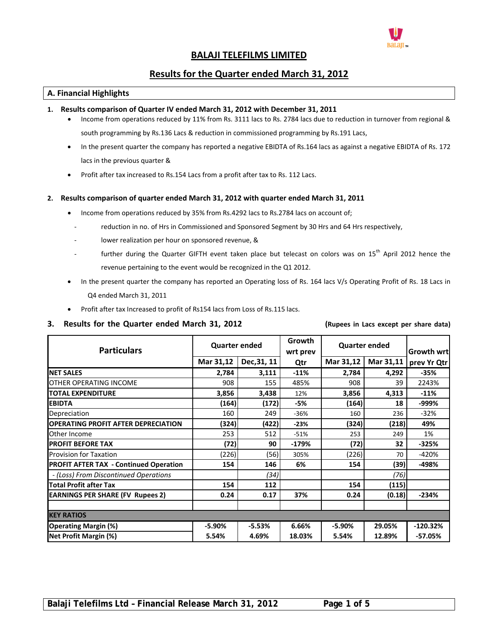

# **BALAJI TELEFILMS LIMITED**

## **Results for the Quarter ended March 31, 2012**

## **A. Financial Highlights**

### **1. Results comparison of Quarter IV ended March 31, 2012 with December 31, 2011**

- Income from operations reduced by 11% from Rs. 3111 lacs to Rs. 2784 lacs due to reduction in turnover from regional & south programming by Rs.136 Lacs & reduction in commissioned programming by Rs.191 Lacs,
- In the present quarter the company has reported a negative EBIDTA of Rs.164 lacs as against a negative EBIDTA of Rs. 172 lacs in the previous quarter &
- Profit after tax increased to Rs.154 Lacs from a profit after tax to Rs. 112 Lacs.

#### **2. Results comparison of quarter ended March 31, 2012 with quarter ended March 31, 2011**

- Income from operations reduced by 35% from Rs.4292 lacs to Rs.2784 lacs on account of;
	- reduction in no. of Hrs in Commissioned and Sponsored Segment by 30 Hrs and 64 Hrs respectively,
	- lower realization per hour on sponsored revenue, &
	- further during the Quarter GIFTH event taken place but telecast on colors was on 15<sup>th</sup> April 2012 hence the revenue pertaining to the event would be recognized in the Q1 2012.
- In the present quarter the company has reported an Operating loss of Rs. 164 lacs V/s Operating Profit of Rs. 18 Lacs in Q4 ended March 31, 2011
- Profit after tax Increased to profit of Rs154 lacs from Loss of Rs.115 lacs.

#### 3. Results for the Quarter ended March 31, 2012 (Rupees in Lacs except per share data)

| <b>Particulars</b>                            | <b>Quarter ended</b> |             | Growth<br>wrt prev | <b>Quarter ended</b> |           | Growth wrt  |
|-----------------------------------------------|----------------------|-------------|--------------------|----------------------|-----------|-------------|
|                                               | Mar 31,12            | Dec, 31, 11 | Qtr                | Mar 31,12            | Mar 31,11 | prev Yr Qtr |
| <b>NET SALES</b>                              | 2,784                | 3,111       | $-11%$             | 2,784                | 4,292     | $-35%$      |
| <b>OTHER OPERATING INCOME</b>                 | 908                  | 155         | 485%               | 908                  | 39        | 2243%       |
| <b>TOTAL EXPENDITURE</b>                      | 3,856                | 3,438       | 12%                | 3,856                | 4,313     | $-11%$      |
| <b>EBIDTA</b>                                 | (164)                | (172)       | -5%                | (164)                | 18        | -999%       |
| Depreciation                                  | 160                  | 249         | $-36%$             | 160                  | 236       | $-32%$      |
| <b>OPERATING PROFIT AFTER DEPRECIATION</b>    | (324)                | (422)       | $-23%$             | (324)                | (218)     | 49%         |
| Other Income                                  | 253                  | 512         | $-51%$             | 253                  | 249       | 1%          |
| <b>PROFIT BEFORE TAX</b>                      | (72)                 | 90          | $-179%$            | (72)                 | 32        | $-325%$     |
| <b>Provision for Taxation</b>                 | (226)                | (56)        | 305%               | (226)                | 70        | $-420%$     |
| <b>PROFIT AFTER TAX - Continued Operation</b> | 154                  | 146         | 6%                 | 154                  | (39)      | -498%       |
| - (Loss) From Discontinued Operations         |                      | (34)        |                    |                      | (76)      |             |
| <b>Total Profit after Tax</b>                 | 154                  | 112         |                    | 154                  | (115)     |             |
| <b>EARNINGS PER SHARE (FV Rupees 2)</b>       | 0.24                 | 0.17        | 37%                | 0.24                 | (0.18)    | $-234%$     |
| <b>KEY RATIOS</b>                             |                      |             |                    |                      |           |             |
|                                               |                      |             |                    |                      |           |             |
| <b>Operating Margin (%)</b>                   | $-5.90%$             | $-5.53%$    | 6.66%              | $-5.90%$             | 29.05%    | $-120.32%$  |
| <b>Net Profit Margin (%)</b>                  | 5.54%                | 4.69%       | 18.03%             | 5.54%                | 12.89%    | $-57.05%$   |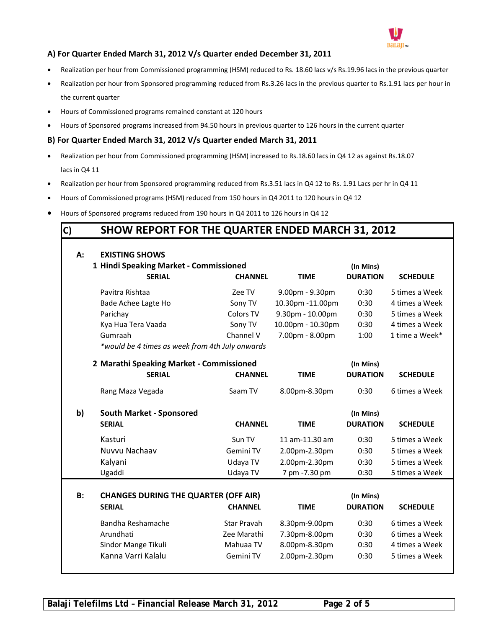

## **A) For Quarter Ended March 31, 2012 V/s Quarter ended December 31, 2011**

- Realization per hour from Commissioned programming (HSM) reduced to Rs. 18.60 lacs v/s Rs.19.96 lacs in the previous quarter
- Realization per hour from Sponsored programming reduced from Rs.3.26 lacs in the previous quarter to Rs.1.91 lacs per hour in the current quarter
- Hours of Commissioned programs remained constant at 120 hours
- Hours of Sponsored programs increased from 94.50 hours in previous quarter to 126 hours in the current quarter

## **B) For Quarter Ended March 31, 2012 V/s Quarter ended March 31, 2011**

- Realization per hour from Commissioned programming (HSM) increased to Rs.18.60 lacs in Q4 12 as against Rs.18.07 lacs in Q4 11
- Realization per hour from Sponsored programming reduced from Rs.3.51 lacs in Q4 12 to Rs. 1.91 Lacs per hr in Q4 11
- Hours of Commissioned programs (HSM) reduced from 150 hours in Q4 2011 to 120 hours in Q4 12
- Hours of Sponsored programs reduced from 190 hours in Q4 2011 to 126 hours in Q4 12

# **C) SHOW REPORT FOR THE QUARTER ENDED MARCH 31, 2012**

| А:        | <b>EXISTING SHOWS</b><br>1 Hindi Speaking Market - Commissioned |                |                   | (In Mins)       |                 |
|-----------|-----------------------------------------------------------------|----------------|-------------------|-----------------|-----------------|
|           | <b>SERIAL</b>                                                   | <b>CHANNEL</b> | <b>TIME</b>       | <b>DURATION</b> | <b>SCHEDULE</b> |
|           | Pavitra Rishtaa                                                 | Zee TV         | 9.00pm - 9.30pm   | 0:30            | 5 times a Week  |
|           | Bade Achee Lagte Ho                                             | Sony TV        | 10.30pm -11.00pm  | 0:30            | 4 times a Week  |
|           | Parichay                                                        | Colors TV      | 9.30pm - 10.00pm  | 0:30            | 5 times a Week  |
|           | Kya Hua Tera Vaada                                              | Sony TV        | 10.00pm - 10.30pm | 0:30            | 4 times a Week  |
|           | Gumraah                                                         | Channel V      | 7.00pm - 8.00pm   | 1:00            | 1 time a Week*  |
|           | *would be 4 times as week from 4th July onwards                 |                |                   |                 |                 |
|           | 2 Marathi Speaking Market - Commissioned                        |                |                   | (In Mins)       |                 |
|           | <b>SERIAL</b>                                                   | <b>CHANNEL</b> | <b>TIME</b>       | <b>DURATION</b> | <b>SCHEDULE</b> |
|           | Rang Maza Vegada                                                | Saam TV        | 8.00pm-8.30pm     | 0:30            | 6 times a Week  |
| b)        | <b>South Market - Sponsored</b>                                 |                |                   | (In Mins)       |                 |
|           | <b>SERIAL</b>                                                   | <b>CHANNEL</b> | <b>TIME</b>       | <b>DURATION</b> | <b>SCHEDULE</b> |
|           | Kasturi                                                         | Sun TV         | 11 am-11.30 am    | 0:30            | 5 times a Week  |
|           | Nuvvu Nachaav                                                   | Gemini TV      | 2.00pm-2.30pm     | 0:30            | 5 times a Week  |
|           | Kalyani                                                         | Udaya TV       | 2.00pm-2.30pm     | 0:30            | 5 times a Week  |
|           | Ugaddi                                                          | Udaya TV       | 7 pm -7.30 pm     | 0:30            | 5 times a Week  |
|           |                                                                 |                |                   |                 |                 |
| <b>B:</b> | <b>CHANGES DURING THE QUARTER (OFF AIR)</b>                     |                |                   | (In Mins)       |                 |
|           | <b>SERIAL</b>                                                   | <b>CHANNEL</b> | <b>TIME</b>       | <b>DURATION</b> | <b>SCHEDULE</b> |
|           | Bandha Reshamache                                               | Star Pravah    | 8.30pm-9.00pm     | 0:30            | 6 times a Week  |
|           | Arundhati                                                       | Zee Marathi    | 7.30pm-8.00pm     | 0:30            | 6 times a Week  |
|           | Sindor Mange Tikuli                                             | Mahuaa TV      | 8.00pm-8.30pm     | 0:30            | 4 times a Week  |
|           | Kanna Varri Kalalu                                              | Gemini TV      | 2.00pm-2.30pm     | 0:30            | 5 times a Week  |
|           |                                                                 |                |                   |                 |                 |

**Balaji Telefilms Ltd – Financial Release March 31, 2012 Page 2 of 5**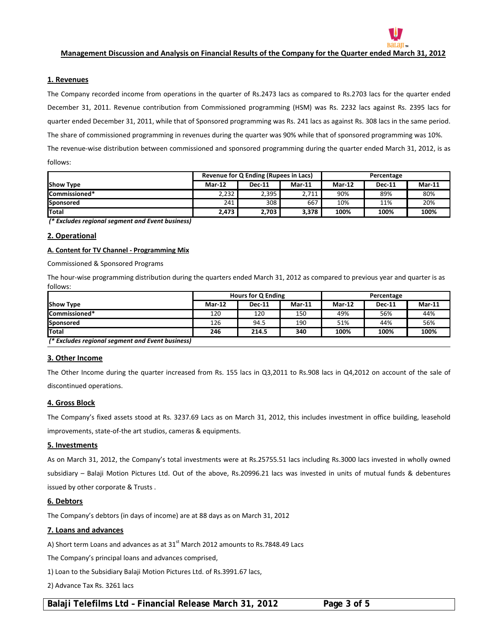#### Management Discussion and Analysis on Financial Results of the Company for the Quarter ended March 31, 2012

#### **1. Revenues**

The Company recorded income from operations in the quarter of Rs.2473 lacs as compared to Rs.2703 lacs for the quarter ended December 31, 2011. Revenue contribution from Commissioned programming (HSM) was Rs. 2232 lacs against Rs. 2395 lacs for quarter ended December 31, 2011, while that of Sponsored programming was Rs. 241 lacs as against Rs. 308 lacs in the same period. The share of commissioned programming in revenues during the quarter was 90% while that of sponsored programming was 10%. The revenue-wise distribution between commissioned and sponsored programming during the quarter ended March 31, 2012, is as follows:

|                       | Revenue for Q Ending (Rupees in Lacs) |               |          | Percentage |               |          |
|-----------------------|---------------------------------------|---------------|----------|------------|---------------|----------|
| <b>Show Type</b>      | $Mar-12$                              | <b>Dec-11</b> | $Mar-11$ | Mar-12     | <b>Dec-11</b> | $Mar-11$ |
| <b>ICommissioned*</b> | 2.232                                 | 2,395         | 2,711    | 90%        | 89%           | 80%      |
| Sponsored             | 241                                   | 308           | 667      | 10%        | 11%           | 20%      |
| <b>Total</b>          | 2,473                                 | 2,703         | 3,378    | 100%       | 100%          | 100%     |

*(\* Excludes regional segment and Event business)*

#### **2. Operational**

#### **A. Content for TV Channel ‐ Programming Mix**

Commissioned & Sponsored Programs

The hour-wise programming distribution during the quarters ended March 31, 2012 as compared to previous year and quarter is as follows:

|                                                  |               | <b>Hours for Q Ending</b> |          | Percentage    |               |          |
|--------------------------------------------------|---------------|---------------------------|----------|---------------|---------------|----------|
| <b>Show Type</b>                                 | <b>Mar-12</b> | <b>Dec-11</b>             | $Mar-11$ | <b>Mar-12</b> | <b>Dec-11</b> | $Mar-11$ |
| Commissioned*                                    | 120           | 120                       | 150      | 49%           | 56%           | 44%      |
| Sponsored                                        | 126           | 94.5                      | 190      | 51%           | 44%           | 56%      |
| <b>Total</b>                                     | 246           | 214.5                     | 340      | 100%          | 100%          | 100%     |
| (* Excludes regional segment and Event business) |               |                           |          |               |               |          |

#### **3. Other Income**

The Other Income during the quarter increased from Rs. 155 lacs in Q3,2011 to Rs.908 lacs in Q4,2012 on account of the sale of discontinued operations.

#### **4. Gross Block**

The Company's fixed assets stood at Rs. 3237.69 Lacs as on March 31, 2012, this includes investment in office building, leasehold improvements, state-of-the art studios, cameras & equipments.

#### **5. Investments**

As on March 31, 2012, the Company's total investments were at Rs.25755.51 lacs including Rs.3000 lacs invested in wholly owned subsidiary – Balaji Motion Pictures Ltd. Out of the above, Rs.20996.21 lacs was invested in units of mutual funds & debentures issued by other corporate & Trusts .

#### **6. Debtors**

The Company's debtors (in days of income) are at 88 days as on March 31, 2012

#### **7. Loans and advances**

A) Short term Loans and advances as at  $31<sup>st</sup>$  March 2012 amounts to Rs.7848.49 Lacs

The Company's principal loans and advances comprised,

1) Loan to the Subsidiary Balaji Motion Pictures Ltd. of Rs.3991.67 lacs,

2) Advance Tax Rs. 3261 lacs

Balaji Telefilms Ltd - Financial Release March 31, 2012 Page 3 of 5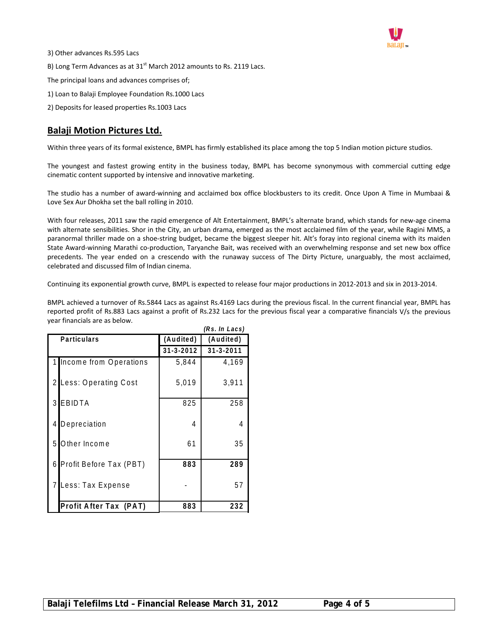

- 3) Other advances Rs.595 Lacs B) Long Term Advances as at  $31<sup>st</sup>$  March 2012 amounts to Rs. 2119 Lacs. The principal loans and advances comprises of; 1) Loan to Balaji Employee Foundation Rs.1000 Lacs
- 2) Deposits for leased properties Rs.1003 Lacs

# **Balaji Motion Pictures Ltd.**

Within three years of its formal existence, BMPL has firmly established its place among the top 5 Indian motion picture studios.

The youngest and fastest growing entity in the business today, BMPL has become synonymous with commercial cutting edge cinematic content supported by intensive and innovative marketing.

The studio has a number of award-winning and acclaimed box office blockbusters to its credit. Once Upon A Time in Mumbaai & Love Sex Aur Dhokha set the ball rolling in 2010.

With four releases, 2011 saw the rapid emergence of Alt Entertainment, BMPL's alternate brand, which stands for new‐age cinema with alternate sensibilities. Shor in the City, an urban drama, emerged as the most acclaimed film of the year, while Ragini MMS, a paranormal thriller made on a shoe-string budget, became the biggest sleeper hit. Alt's foray into regional cinema with its maiden State Award‐winning Marathi co‐production, Taryanche Bait, was received with an overwhelming response and set new box office precedents. The year ended on a crescendo with the runaway success of The Dirty Picture, unarguably, the most acclaimed, celebrated and discussed film of Indian cinema.

Continuing its exponential growth curve, BMPL is expected to release four major productions in 2012‐2013 and six in 2013‐2014.

BMPL achieved a turnover of Rs.5844 Lacs as against Rs.4169 Lacs during the previous fiscal. In the current financial year, BMPL has reported profit of Rs.883 Lacs against a profit of Rs.232 Lacs for the previous fiscal year a comparative financials V/s the previous year financials are as below.

| (Rs. In Lacs)                |                 |                 |  |  |  |
|------------------------------|-----------------|-----------------|--|--|--|
| <b>Particulars</b>           | (Audited)       | (Audited)       |  |  |  |
|                              | $31 - 3 - 2012$ | $31 - 3 - 2011$ |  |  |  |
| Income from Operations       | 5.844           | 4.169           |  |  |  |
| Less: Operating Cost         | 5,019           | 3,911           |  |  |  |
| EBIDTA<br>3                  | 825             | 258             |  |  |  |
| Depreciation<br>4            | 4               | 4               |  |  |  |
| Other Income<br>5            | 61              | 35              |  |  |  |
| Profit Before Tax (PBT)<br>6 | 883             | 289             |  |  |  |
| Less: Tax Expense            |                 | 57              |  |  |  |
| Profit After Tax (PAT)       | 883             | 232             |  |  |  |